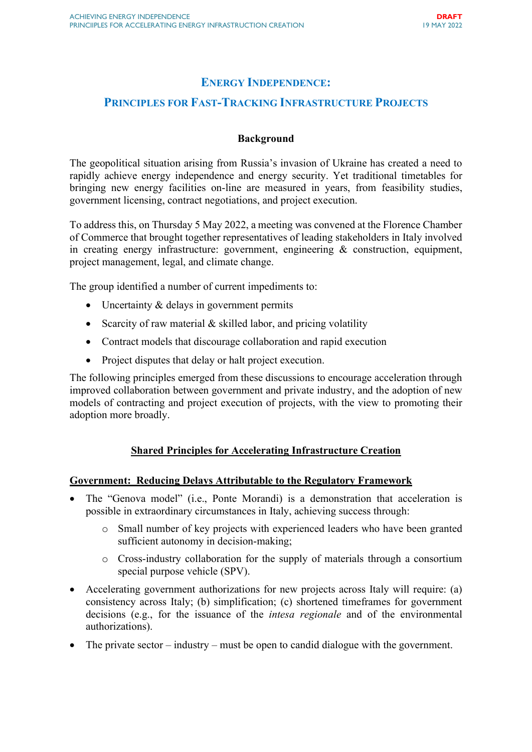# ENERGY INDEPENDENCE:

# PRINCIPLES FOR FAST-TRACKING INFRASTRUCTURE PROJECTS

#### Background

The geopolitical situation arising from Russia's invasion of Ukraine has created a need to rapidly achieve energy independence and energy security. Yet traditional timetables for bringing new energy facilities on-line are measured in years, from feasibility studies, government licensing, contract negotiations, and project execution.

To address this, on Thursday 5 May 2022, a meeting was convened at the Florence Chamber of Commerce that brought together representatives of leading stakeholders in Italy involved in creating energy infrastructure: government, engineering & construction, equipment, project management, legal, and climate change.

The group identified a number of current impediments to:

- Uncertainty & delays in government permits
- Scarcity of raw material  $&$  skilled labor, and pricing volatility
- Contract models that discourage collaboration and rapid execution
- Project disputes that delay or halt project execution.

The following principles emerged from these discussions to encourage acceleration through improved collaboration between government and private industry, and the adoption of new models of contracting and project execution of projects, with the view to promoting their adoption more broadly.

### Shared Principles for Accelerating Infrastructure Creation

#### Government: Reducing Delays Attributable to the Regulatory Framework

- The "Genova model" (i.e., Ponte Morandi) is a demonstration that acceleration is possible in extraordinary circumstances in Italy, achieving success through:
	- o Small number of key projects with experienced leaders who have been granted sufficient autonomy in decision-making;
	- o Cross-industry collaboration for the supply of materials through a consortium special purpose vehicle (SPV).
- Accelerating government authorizations for new projects across Italy will require: (a) consistency across Italy; (b) simplification; (c) shortened timeframes for government decisions (e.g., for the issuance of the *intesa regionale* and of the environmental authorizations).
- The private sector industry must be open to candid dialogue with the government.